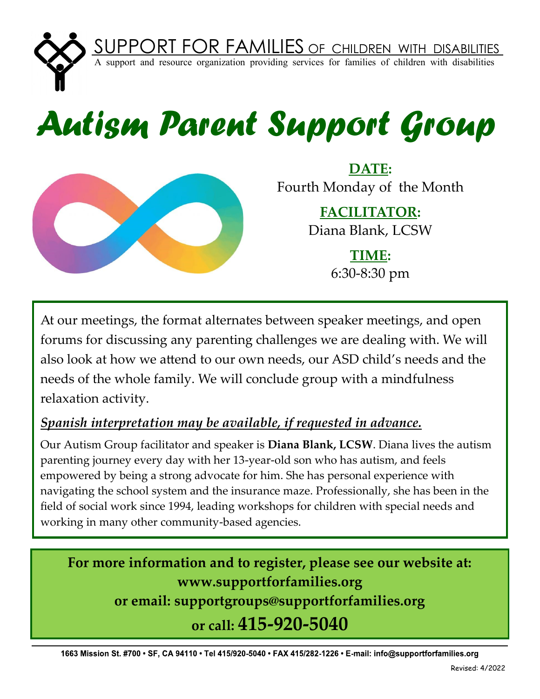

## *Autism Parent Support Group*



**DATE:** Fourth Monday of the Month

> **FACILITATOR:** Diana Blank, LCSW

> > **TIME:**  6:30-8:30 pm

At our meetings, the format alternates between speaker meetings, and open forums for discussing any parenting challenges we are dealing with. We will also look at how we attend to our own needs, our ASD child's needs and the needs of the whole family. We will conclude group with a mindfulness relaxation activity.

## *Spanish interpretation may be available, if requested in advance.*

Our Autism Group facilitator and speaker is **Diana Blank, LCSW**. Diana lives the autism parenting journey every day with her 13-year-old son who has autism, and feels empowered by being a strong advocate for him. She has personal experience with navigating the school system and the insurance maze. Professionally, she has been in the field of social work since 1994, leading workshops for children with special needs and working in many other community-based agencies.

**For more information and to register, please see our website at: www.supportforfamilies.org or email: supportgroups@supportforfamilies.org or call: 415-920-5040**

1663 Mission St. #700 • SF, CA 94110 • Tel 415/920-5040 • FAX 415/282-1226 • E-mail: info@supportforfamilies.org